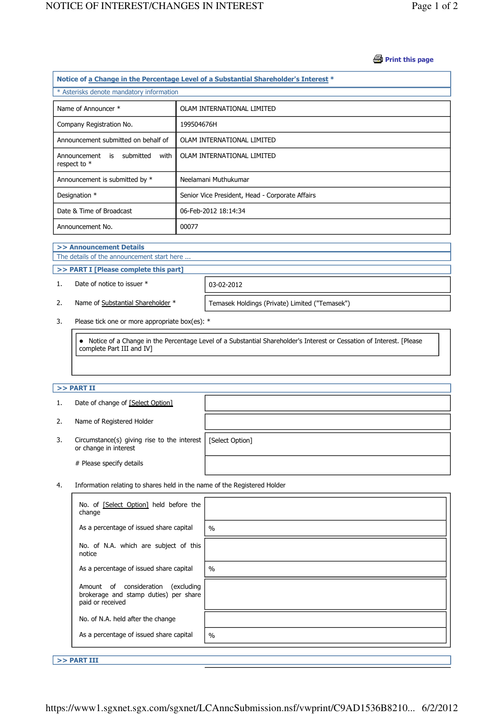#### **Print this page**

| Notice of a Change in the Percentage Level of a Substantial Shareholder's Interest * |                                                 |  |  |  |
|--------------------------------------------------------------------------------------|-------------------------------------------------|--|--|--|
| * Asterisks denote mandatory information                                             |                                                 |  |  |  |
| Name of Announcer *                                                                  | OLAM INTERNATIONAL LIMITED                      |  |  |  |
| Company Registration No.                                                             | 199504676H                                      |  |  |  |
| Announcement submitted on behalf of                                                  | OLAM INTERNATIONAL LIMITED                      |  |  |  |
| Announcement is submitted<br>with<br>respect to $*$                                  | OLAM INTERNATIONAL LIMITED                      |  |  |  |
| Announcement is submitted by *                                                       | Neelamani Muthukumar                            |  |  |  |
| Designation *                                                                        | Senior Vice President, Head - Corporate Affairs |  |  |  |
| Date & Time of Broadcast                                                             | 06-Feb-2012 18:14:34                            |  |  |  |
| Announcement No.                                                                     | 00077                                           |  |  |  |

#### >> Announcement Details

J

J

The details of the announcement start here ...

### >> PART I [Please complete this part]

1. Date of notice to issuer \* 03-02-2012

2. Name of Substantial Shareholder \* Temasek Holdings (Private) Limited ("Temasek")

3. Please tick one or more appropriate box(es): \*

 Notice of a Change in the Percentage Level of a Substantial Shareholder's Interest or Cessation of Interest. [Please complete Part III and IV]

# $>>$  PART II

|    | Date of change of [Select Option]                                            |                 |
|----|------------------------------------------------------------------------------|-----------------|
| 2. | Name of Registered Holder                                                    |                 |
| 3. | Circumstance(s) giving rise to the interest $\vert$<br>or change in interest | [Select Option] |
|    | # Please specify details                                                     |                 |

4. Information relating to shares held in the name of the Registered Holder

| No. of [Select Option] held before the<br>change                                                   |               |
|----------------------------------------------------------------------------------------------------|---------------|
| As a percentage of issued share capital                                                            | $\frac{0}{0}$ |
| No. of N.A. which are subject of this<br>notice                                                    |               |
| As a percentage of issued share capital                                                            | $\%$          |
| Amount of consideration<br>excluding)<br>brokerage and stamp duties) per share<br>paid or received |               |
| No. of N.A. held after the change                                                                  |               |
| As a percentage of issued share capital                                                            | $\%$          |

>> PART III